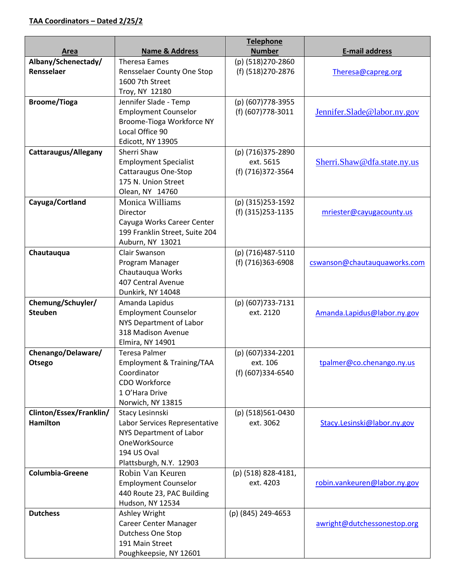|                             |                                             | <b>Telephone</b>    |                              |
|-----------------------------|---------------------------------------------|---------------------|------------------------------|
| Area                        | <b>Name &amp; Address</b>                   | <b>Number</b>       | <b>E-mail address</b>        |
| Albany/Schenectady/         | <b>Theresa Eames</b>                        | (p) (518)270-2860   |                              |
| Rensselaer                  | Rensselaer County One Stop                  | (f) (518)270-2876   | Theresa@capreg.org           |
|                             | 1600 7th Street                             |                     |                              |
|                             | Troy, NY 12180                              |                     |                              |
| <b>Broome/Tioga</b>         | Jennifer Slade - Temp                       | (p) (607) 778-3955  |                              |
|                             | <b>Employment Counselor</b>                 | (f) (607) 778-3011  | Jennifer.Slade@labor.ny.gov  |
|                             | Broome-Tioga Workforce NY                   |                     |                              |
|                             | Local Office 90                             |                     |                              |
|                             | Edicott, NY 13905                           |                     |                              |
| <b>Cattaraugus/Allegany</b> | Sherri Shaw                                 | (p) (716)375-2890   |                              |
|                             | <b>Employment Specialist</b>                | ext. 5615           | Sherri.Shaw@dfa.state.ny.us  |
|                             | Cattaraugus One-Stop<br>175 N. Union Street | (f) (716)372-3564   |                              |
|                             | Olean, NY 14760                             |                     |                              |
| Cayuga/Cortland             | Monica Williams                             | (p) (315) 253-1592  |                              |
|                             | Director                                    | (f) (315) 253-1135  | mriester@cayugacounty.us     |
|                             | Cayuga Works Career Center                  |                     |                              |
|                             | 199 Franklin Street, Suite 204              |                     |                              |
|                             | Auburn, NY 13021                            |                     |                              |
| Chautauqua                  | Clair Swanson                               | (p) (716)487-5110   |                              |
|                             | Program Manager                             | (f) (716)363-6908   | cswanson@chautauquaworks.com |
|                             | Chautauqua Works                            |                     |                              |
|                             | 407 Central Avenue                          |                     |                              |
|                             | Dunkirk, NY 14048                           |                     |                              |
| Chemung/Schuyler/           | Amanda Lapidus                              | (p) (607) 733-7131  |                              |
| <b>Steuben</b>              | <b>Employment Counselor</b>                 | ext. 2120           | Amanda.Lapidus@labor.ny.gov  |
|                             | NYS Department of Labor                     |                     |                              |
|                             | 318 Madison Avenue                          |                     |                              |
|                             | Elmira, NY 14901                            |                     |                              |
| Chenango/Delaware/          | <b>Teresa Palmer</b>                        | (p) (607)334-2201   |                              |
| Otsego                      | Employment & Training/TAA                   | ext. 106            | tpalmer@co.chenango.ny.us    |
|                             | Coordinator<br>CDO Workforce                | (f) (607)334-6540   |                              |
|                             | 1 O'Hara Drive                              |                     |                              |
|                             | Norwich, NY 13815                           |                     |                              |
| Clinton/Essex/Franklin/     | Stacy Lesinnski                             | (p) (518)561-0430   |                              |
| <b>Hamilton</b>             | Labor Services Representative               | ext. 3062           | Stacy.Lesinski@labor.ny.gov  |
|                             | NYS Department of Labor                     |                     |                              |
|                             | OneWorkSource                               |                     |                              |
|                             | 194 US Oval                                 |                     |                              |
|                             | Plattsburgh, N.Y. 12903                     |                     |                              |
| <b>Columbia-Greene</b>      | Robin Van Keuren                            | (p) (518) 828-4181, |                              |
|                             | <b>Employment Counselor</b>                 | ext. 4203           | robin.vankeuren@labor.ny.gov |
|                             | 440 Route 23, PAC Building                  |                     |                              |
|                             | Hudson, NY 12534                            |                     |                              |
| <b>Dutchess</b>             | Ashley Wright                               | (p) (845) 249-4653  |                              |
|                             | Career Center Manager                       |                     | awright@dutchessonestop.org  |
|                             | Dutchess One Stop                           |                     |                              |
|                             | 191 Main Street                             |                     |                              |
|                             | Poughkeepsie, NY 12601                      |                     |                              |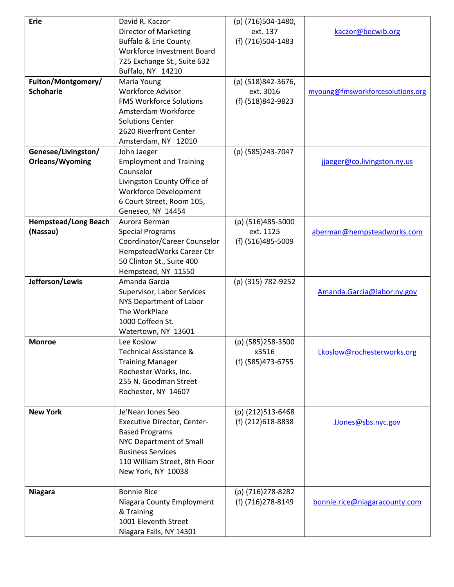| <b>Erie</b>                 | David R. Kaczor                    | (p) (716)504-1480, |                                  |
|-----------------------------|------------------------------------|--------------------|----------------------------------|
|                             | <b>Director of Marketing</b>       | ext. 137           | kaczor@becwib.org                |
|                             | <b>Buffalo &amp; Erie County</b>   | (f) (716)504-1483  |                                  |
|                             | Workforce Investment Board         |                    |                                  |
|                             | 725 Exchange St., Suite 632        |                    |                                  |
|                             | Buffalo, NY 14210                  |                    |                                  |
| Fulton/Montgomery/          | Maria Young                        | (p) (518)842-3676, |                                  |
| <b>Schoharie</b>            | <b>Workforce Advisor</b>           | ext. 3016          | myoung@fmsworkforcesolutions.org |
|                             | <b>FMS Workforce Solutions</b>     | (f) (518)842-9823  |                                  |
|                             | Amsterdam Workforce                |                    |                                  |
|                             |                                    |                    |                                  |
|                             | <b>Solutions Center</b>            |                    |                                  |
|                             | 2620 Riverfront Center             |                    |                                  |
|                             | Amsterdam, NY 12010                |                    |                                  |
| Genesee/Livingston/         | John Jaeger                        | (p) (585)243-7047  |                                  |
| Orleans/Wyoming             | <b>Employment and Training</b>     |                    | jjaeger@co.livingston.ny.us      |
|                             | Counselor                          |                    |                                  |
|                             | Livingston County Office of        |                    |                                  |
|                             | <b>Workforce Development</b>       |                    |                                  |
|                             | 6 Court Street, Room 105,          |                    |                                  |
|                             | Geneseo, NY 14454                  |                    |                                  |
| <b>Hempstead/Long Beach</b> | Aurora Berman                      | (p) (516)485-5000  |                                  |
| (Nassau)                    | <b>Special Programs</b>            | ext. 1125          | aberman@hempsteadworks.com       |
|                             | Coordinator/Career Counselor       | (f) (516)485-5009  |                                  |
|                             | HempsteadWorks Career Ctr          |                    |                                  |
|                             | 50 Clinton St., Suite 400          |                    |                                  |
|                             | Hempstead, NY 11550                |                    |                                  |
| Jefferson/Lewis             | Amanda Garcia                      | (p) (315) 782-9252 |                                  |
|                             | Supervisor, Labor Services         |                    | Amanda.Garcia@labor.ny.gov       |
|                             | NYS Department of Labor            |                    |                                  |
|                             | The WorkPlace                      |                    |                                  |
|                             | 1000 Coffeen St.                   |                    |                                  |
|                             | Watertown, NY 13601                |                    |                                  |
| <b>Monroe</b>               | Lee Koslow                         | (p) (585)258-3500  |                                  |
|                             | Technical Assistance &             | X3516              | Lkoslow@rochesterworks.org       |
|                             | <b>Training Manager</b>            | (f) (585) 473-6755 |                                  |
|                             | Rochester Works, Inc.              |                    |                                  |
|                             | 255 N. Goodman Street              |                    |                                  |
|                             | Rochester, NY 14607                |                    |                                  |
|                             |                                    |                    |                                  |
| <b>New York</b>             | Je'Nean Jones Seo                  | (p) (212)513-6468  |                                  |
|                             | <b>Executive Director, Center-</b> | (f) (212) 618-8838 | JJones@sbs.nyc.gov               |
|                             | <b>Based Programs</b>              |                    |                                  |
|                             | NYC Department of Small            |                    |                                  |
|                             | <b>Business Services</b>           |                    |                                  |
|                             |                                    |                    |                                  |
|                             | 110 William Street, 8th Floor      |                    |                                  |
|                             | New York, NY 10038                 |                    |                                  |
|                             | <b>Bonnie Rice</b>                 | (p) (716) 278-8282 |                                  |
| <b>Niagara</b>              |                                    |                    |                                  |
|                             | Niagara County Employment          | (f) (716) 278-8149 | bonnie.rice@niagaracounty.com    |
|                             | & Training                         |                    |                                  |
|                             | 1001 Eleventh Street               |                    |                                  |
|                             | Niagara Falls, NY 14301            |                    |                                  |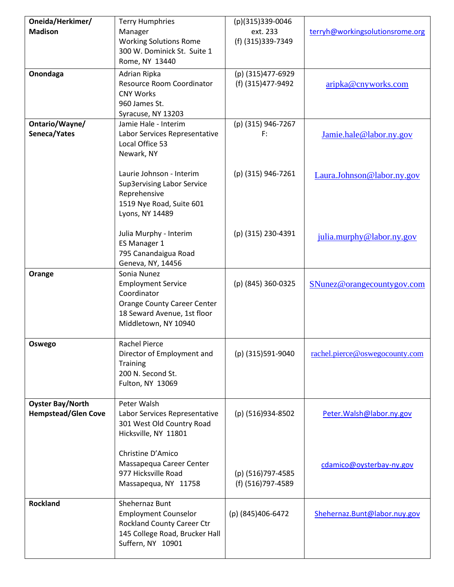| Oneida/Herkimer/<br><b>Madison</b>                    | <b>Terry Humphries</b>                                                                                                                               | (p)(315)339-0046<br>ext. 233            |                                 |
|-------------------------------------------------------|------------------------------------------------------------------------------------------------------------------------------------------------------|-----------------------------------------|---------------------------------|
|                                                       | Manager<br><b>Working Solutions Rome</b><br>300 W. Dominick St. Suite 1<br>Rome, NY 13440                                                            | (f) (315) 339-7349                      | terryh@workingsolutionsrome.org |
| Onondaga                                              | Adrian Ripka<br>Resource Room Coordinator<br><b>CNY Works</b><br>960 James St.<br>Syracuse, NY 13203                                                 | (p) (315)477-6929<br>(f) (315) 477-9492 | aripka@cnyworks.com             |
| Ontario/Wayne/<br>Seneca/Yates                        | Jamie Hale - Interim<br>Labor Services Representative<br>Local Office 53<br>Newark, NY                                                               | (p) (315) 946-7267<br>F:                | Jamie.hale@labor.ny.gov         |
|                                                       | Laurie Johnson - Interim<br>Sup3ervising Labor Service<br>Reprehensive<br>1519 Nye Road, Suite 601<br>Lyons, NY 14489                                | (p) (315) 946-7261                      | Laura.Johnson@labor.ny.gov      |
|                                                       | Julia Murphy - Interim<br>ES Manager 1<br>795 Canandaigua Road<br>Geneva, NY, 14456                                                                  | (p) (315) 230-4391                      | julia.murphy@labor.ny.gov       |
| Orange                                                | Sonia Nunez<br><b>Employment Service</b><br>Coordinator<br><b>Orange County Career Center</b><br>18 Seward Avenue, 1st floor<br>Middletown, NY 10940 | (p) (845) 360-0325                      | SNunez@orangecountygov.com      |
| Oswego                                                | <b>Rachel Pierce</b><br>Director of Employment and<br><b>Training</b><br>200 N. Second St.<br>Fulton, NY 13069                                       | (p) (315)591-9040                       | rachel.pierce@oswegocounty.com  |
| <b>Oyster Bay/North</b><br><b>Hempstead/Glen Cove</b> | Peter Walsh<br>Labor Services Representative<br>301 West Old Country Road<br>Hicksville, NY 11801                                                    | (p) (516)934-8502                       | Peter. Walsh@labor.ny.gov       |
|                                                       | Christine D'Amico<br>Massapequa Career Center<br>977 Hicksville Road<br>Massapequa, NY 11758                                                         | (p) (516)797-4585<br>(f) (516)797-4589  | cdamico@oysterbay-ny.gov        |
| <b>Rockland</b>                                       | Shehernaz Bunt<br><b>Employment Counselor</b><br><b>Rockland County Career Ctr</b><br>145 College Road, Brucker Hall<br>Suffern, NY 10901            | (p) (845)406-6472                       | Shehernaz.Bunt@labor.nuy.gov    |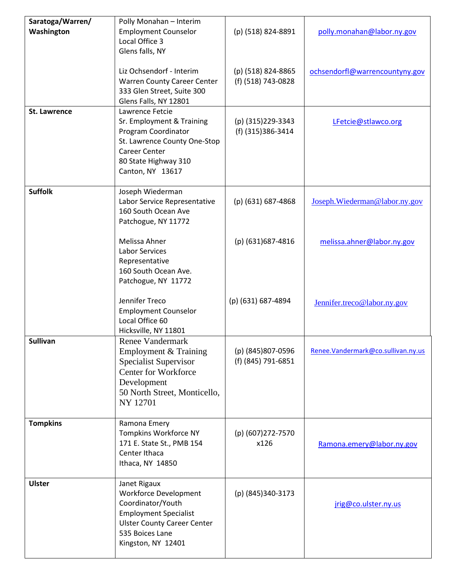| Saratoga/Warren/    | Polly Monahan - Interim                          |                    |                                    |
|---------------------|--------------------------------------------------|--------------------|------------------------------------|
| Washington          | <b>Employment Counselor</b>                      | (p) (518) 824-8891 | polly.monahan@labor.ny.gov         |
|                     | Local Office 3                                   |                    |                                    |
|                     | Glens falls, NY                                  |                    |                                    |
|                     |                                                  |                    |                                    |
|                     | Liz Ochsendorf - Interim                         | (p) (518) 824-8865 | ochsendorfl@warrencountyny.gov     |
|                     | <b>Warren County Career Center</b>               | (f) (518) 743-0828 |                                    |
|                     | 333 Glen Street, Suite 300                       |                    |                                    |
|                     | Glens Falls, NY 12801                            |                    |                                    |
| <b>St. Lawrence</b> | Lawrence Fetcie                                  |                    |                                    |
|                     | Sr. Employment & Training                        | (p) (315) 229-3343 | LFetcie@stlawco.org                |
|                     | Program Coordinator                              | (f) (315)386-3414  |                                    |
|                     | St. Lawrence County One-Stop                     |                    |                                    |
|                     | <b>Career Center</b>                             |                    |                                    |
|                     | 80 State Highway 310                             |                    |                                    |
|                     | Canton, NY 13617                                 |                    |                                    |
| <b>Suffolk</b>      |                                                  |                    |                                    |
|                     | Joseph Wiederman<br>Labor Service Representative | (p) (631) 687-4868 | Joseph. Wiederman@labor.ny.gov     |
|                     | 160 South Ocean Ave                              |                    |                                    |
|                     | Patchogue, NY 11772                              |                    |                                    |
|                     |                                                  |                    |                                    |
|                     | Melissa Ahner                                    | (p) (631) 687-4816 | melissa.ahner@labor.ny.gov         |
|                     | <b>Labor Services</b>                            |                    |                                    |
|                     | Representative                                   |                    |                                    |
|                     | 160 South Ocean Ave.                             |                    |                                    |
|                     | Patchogue, NY 11772                              |                    |                                    |
|                     |                                                  |                    |                                    |
|                     | Jennifer Treco                                   | (p) (631) 687-4894 | Jennifer.treco@labor.ny.gov        |
|                     | <b>Employment Counselor</b>                      |                    |                                    |
|                     | Local Office 60                                  |                    |                                    |
|                     | Hicksville, NY 11801                             |                    |                                    |
| <b>Sullivan</b>     | <b>Renee Vandermark</b>                          |                    |                                    |
|                     | Employment & Training                            | (p) (845) 807-0596 | Renee.Vandermark@co.sullivan.ny.us |
|                     | <b>Specialist Supervisor</b>                     | (f) (845) 791-6851 |                                    |
|                     | <b>Center for Workforce</b>                      |                    |                                    |
|                     | Development                                      |                    |                                    |
|                     | 50 North Street, Monticello,                     |                    |                                    |
|                     | <b>NY 12701</b>                                  |                    |                                    |
| <b>Tompkins</b>     | Ramona Emery                                     |                    |                                    |
|                     | Tompkins Workforce NY                            | (p) (607) 272-7570 |                                    |
|                     | 171 E. State St., PMB 154                        | x126               |                                    |
|                     | Center Ithaca                                    |                    | Ramona.emery@labor.ny.gov          |
|                     | Ithaca, NY 14850                                 |                    |                                    |
|                     |                                                  |                    |                                    |
| <b>Ulster</b>       | Janet Rigaux                                     |                    |                                    |
|                     | Workforce Development                            | (p) (845)340-3173  |                                    |
|                     | Coordinator/Youth                                |                    | jrig@co.ulster.ny.us               |
|                     | <b>Employment Specialist</b>                     |                    |                                    |
|                     | <b>Ulster County Career Center</b>               |                    |                                    |
|                     | 535 Boices Lane                                  |                    |                                    |
|                     | Kingston, NY 12401                               |                    |                                    |
|                     |                                                  |                    |                                    |